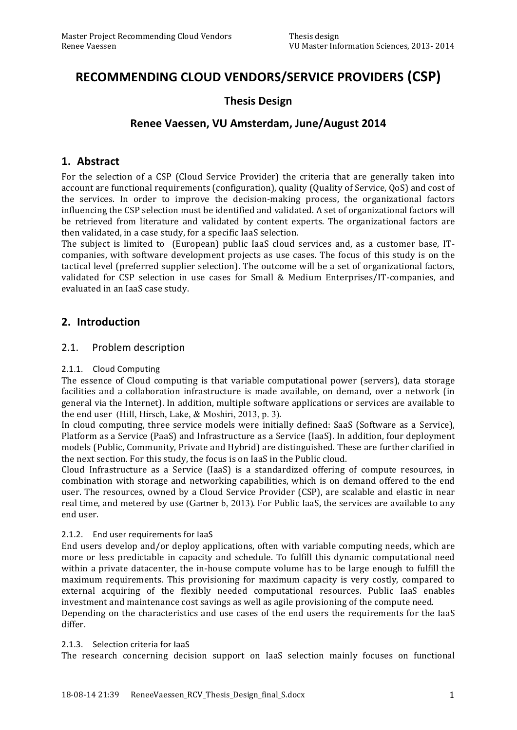# RECOMMENDING CLOUD VENDORS/SERVICE PROVIDERS (CSP)

# **Thesis\*Design**

# Renee Vaessen, VU Amsterdam, June/August 2014

### **1. Abstract**

For the selection of a CSP (Cloud Service Provider) the criteria that are generally taken into account are functional requirements (configuration), quality (Quality of Service, QoS) and cost of the services. In order to improve the decision-making process, the organizational factors influencing the CSP selection must be identified and validated. A set of organizational factors will be retrieved from literature and validated by content experts. The organizational factors are then validated, in a case study, for a specific IaaS selection.

The subject is limited to (European) public IaaS cloud services and, as a customer base, ITcompanies, with software development projects as use cases. The focus of this study is on the tactical level (preferred supplier selection). The outcome will be a set of organizational factors, validated for CSP selection in use cases for Small & Medium Enterprises/IT-companies, and evaluated in an IaaS case study.

## **2. Introduction**

### 2.1. Problem description

### 2.1.1. Cloud Computing

The essence of Cloud computing is that variable computational power (servers), data storage facilities and a collaboration infrastructure is made available, on demand, over a network (in) general via the Internet). In addition, multiple software applications or services are available to the end user (Hill, Hirsch, Lake, & Moshiri, 2013, p. 3).

In cloud computing, three service models were initially defined: SaaS (Software as a Service), Platform as a Service (PaaS) and Infrastructure as a Service (IaaS). In addition, four deployment models (Public, Community, Private and Hybrid) are distinguished. These are further clarified in the next section. For this study, the focus is on IaaS in the Public cloud.

Cloud Infrastructure as a Service (IaaS) is a standardized offering of compute resources, in combination with storage and networking capabilities, which is on demand offered to the end user. The resources, owned by a Cloud Service Provider (CSP), are scalable and elastic in near real time, and metered by use (Gartner b, 2013). For Public IaaS, the services are available to any end user.

### 2.1.2. End user requirements for laaS

End users develop and/or deploy applications, often with variable computing needs, which are more or less predictable in capacity and schedule. To fulfill this dynamic computational need within a private datacenter, the in-house compute volume has to be large enough to fulfill the maximum requirements. This provisioning for maximum capacity is very costly, compared to external acquiring of the flexibly needed computational resources. Public IaaS enables investment and maintenance cost savings as well as agile provisioning of the compute need.

Depending on the characteristics and use cases of the end users the requirements for the IaaS differ.

### 2.1.3. Selection criteria for laaS

The research concerning decision support on IaaS selection mainly focuses on functional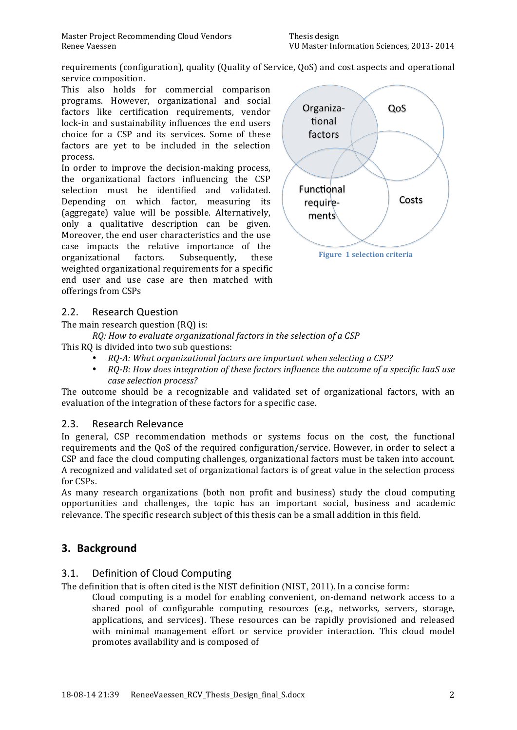requirements (configuration), quality (Quality of Service, QoS) and cost aspects and operational service composition.

This also holds for commercial comparison programs. However, organizational and social factors like certification requirements, vendor lock-in and sustainability influences the end users choice for a CSP and its services. Some of these factors are yet to be included in the selection process.'

In order to improve the decision-making process, the organizational' factors' influencing' the' CSP' selection must be identified and validated. Depending on which factor, measuring its (aggregate) value will be possible. Alternatively, only' a' qualitative' description can' be' given. Moreover, the end user characteristics and the use case' impacts' the' relative' importance' of' the' organizational factors. Subsequently, these weighted organizational requirements for a specific end user and use case are then matched with offerings from CSPs



## 2.2. Research Question

The main research question (RQ) is:

*RQ: How to evaluate organizational factors in the selection of a CSP* 

- This RQ is divided into two sub questions:
	- *RQ:A:\$What\$organizational\$factors\$are\$important\$when\$selecting\$a CSP?*
	- $RQ-B$ : How does integration of these factors influence the outcome of a specific IaaS use case selection process?

The outcome should be a recognizable and validated set of organizational factors, with an evaluation of the integration of these factors for a specific case.

## 2.3. Research Relevance

In general, CSP recommendation methods or systems focus on the cost, the functional requirements and the QoS of the required configuration/service. However, in order to select a CSP and face the cloud computing challenges, organizational factors must be taken into account. A recognized and validated set of organizational factors is of great value in the selection process for CSPs.

As many research organizations (both non profit and business) study the cloud computing opportunities' and' challenges,' the' topic' has' an' important' social,' business' and' academic' relevance. The specific research subject of this thesis can be a small addition in this field.

# **3. Background**

## 3.1. Definition of Cloud Computing

The definition that is often cited is the NIST definition (NIST, 2011). In a concise form:

Cloud computing is a model for enabling convenient, on-demand network access to a shared pool of configurable computing resources (e.g., networks, servers, storage, applications, and services). These resources can be rapidly provisioned and released with minimal management effort or service provider interaction. This cloud model promotes availability and is composed of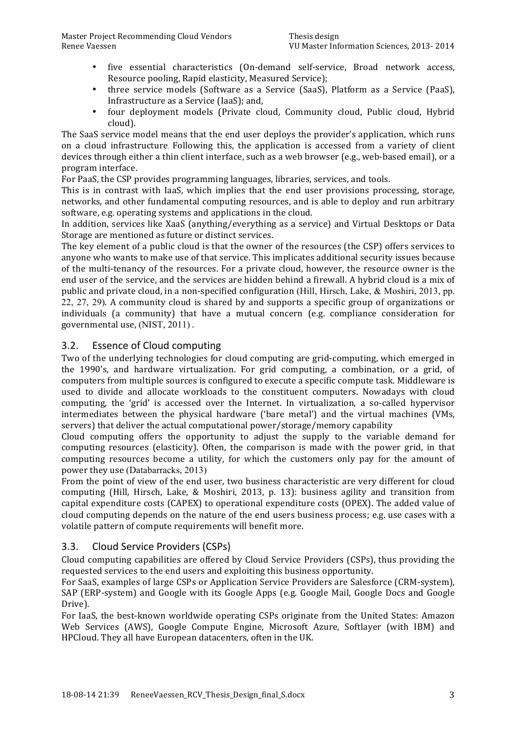- five essential characteristics (On-demand self-service, Broad network access, Resource pooling, Rapid elasticity, Measured Service);
- three service models (Software as a Service (SaaS), Platform as a Service (PaaS), Infrastructure as a Service (IaaS); and,
- four deployment models (Private cloud, Community cloud, Public cloud, Hybrid cloud).

The SaaS service model means that the end user deploys the provider's application, which runs on a cloud infrastructure. Following this, the application is accessed from a variety of client devices through either a thin client interface, such as a web browser (e.g., web-based email), or a program'interface.

For PaaS, the CSP provides programming languages, libraries, services, and tools.

This is in contrast with IaaS, which implies that the end user provisions processing, storage, networks, and other fundamental computing resources, and is able to deploy and run arbitrary software, e.g. operating systems and applications in the cloud.

In addition, services like XaaS (anything/everything as a service) and Virtual Desktops or Data Storage are mentioned as future or distinct services.

The key element of a public cloud is that the owner of the resources (the CSP) offers services to anyone who wants to make use of that service. This implicates additional security issues because of the multi-tenancy of the resources. For a private cloud, however, the resource owner is the end user of the service, and the services are hidden behind a firewall. A hybrid cloud is a mix of public and private cloud, in a non-specified configuration (Hill, Hirsch, Lake, & Moshiri, 2013, pp.  $22, 27, 29$ ). A community cloud is shared by and supports a specific group of organizations or individuals (a community) that have a mutual concern (e.g. compliance consideration for governmental use, (NIST, 2011).

## 3.2. Essence of Cloud computing

Two of the underlying technologies for cloud computing are grid-computing, which emerged in the 1990's, and hardware virtualization. For grid computing, a combination, or a grid, of computers from multiple sources is configured to execute a specific compute task. Middleware is used to divide and allocate workloads to the constituent computers. Nowadays with cloud computing, the 'grid' is accessed over the Internet. In virtualization, a so-called hypervisor intermediates between the physical hardware ('bare metal') and the virtual machines (VMs, servers) that deliver the actual computational power/storage/memory capability

Cloud computing offers the opportunity to adjust the supply to the variable demand for computing resources (elasticity). Often, the comparison is made with the power grid, in that computing resources become a utility, for which the customers only pay for the amount of power they use (Databarracks, 2013)

From the point of view of the end user, two business characteristic are very different for cloud computing (Hill, Hirsch, Lake, & Moshiri, 2013, p. 13): business agility and transition from capital expenditure costs (CAPEX) to operational expenditure costs (OPEX). The added value of cloud computing depends on the nature of the end users business process; e.g. use cases with a volatile pattern of compute requirements will benefit more.

## 3.3. Cloud Service Providers (CSPs)

Cloud'computing'capabilities'are'offered'by'Cloud'Service'Providers'(CSPs),'thus'providing'the' requested services to the end users and exploiting this business opportunity.

For SaaS, examples of large CSPs or Application Service Providers are Salesforce (CRM-system), SAP (ERP-system) and Google with its Google Apps (e.g. Google Mail, Google Docs and Google Drive).

For IaaS, the best-known worldwide operating CSPs originate from the United States: Amazon Web Services (AWS), Google Compute Engine, Microsoft Azure, Softlayer (with IBM) and HPCloud. They all have European datacenters, often in the UK.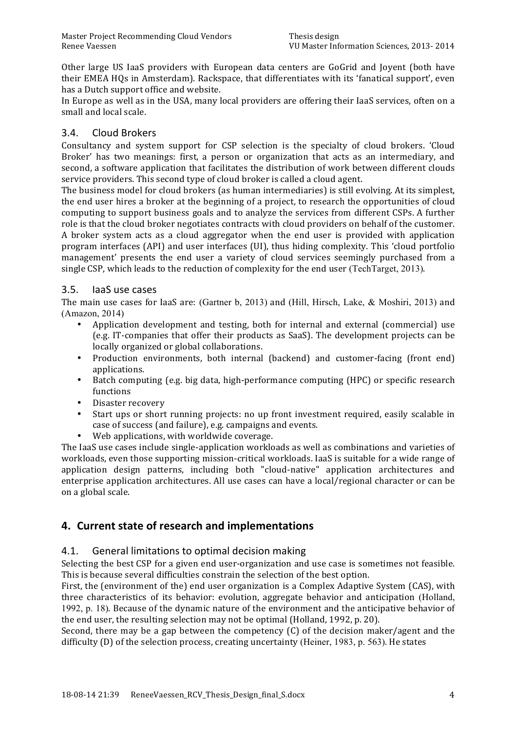Other large US IaaS providers with European data centers are GoGrid and Joyent (both have their EMEA HQs in Amsterdam). Rackspace, that differentiates with its 'fanatical support', even has a Dutch support office and website.

In'Europe as well as in the USA, many local providers are offering their IaaS services, often on a small and local scale.

# 3.4. Cloud+Brokers

Consultancy and system support for CSP selection is the specialty of cloud brokers. 'Cloud' Broker' has two meanings: first, a person or organization that acts as an intermediary, and second, a software application that facilitates the distribution of work between different clouds service providers. This second type of cloud broker is called a cloud agent.

The business model for cloud brokers (as human intermediaries) is still evolving. At its simplest, the end user hires a broker at the beginning of a project, to research the opportunities of cloud computing to support business goals and to analyze the services from different CSPs. A further role is that the cloud broker negotiates contracts with cloud providers on behalf of the customer. A broker system acts as a cloud aggregator when the end user is provided with application program interfaces (API) and user interfaces (UI), thus hiding complexity. This 'cloud portfolio' management' presents the end user a variety of cloud services seemingly purchased from a single CSP, which leads to the reduction of complexity for the end user (TechTarget, 2013).

## 3.5. laaS use cases

The main use cases for IaaS are: (Gartner b, 2013) and (Hill, Hirsch, Lake,  $\&$  Moshiri, 2013) and (Amazon, 2014)

- Application development and testing, both for internal and external (commercial) use (e.g. IT-companies that offer their products as SaaS). The development projects can be locally organized or global collaborations.
- Production environments, both internal (backend) and customer-facing (front end) applications.
- Batch computing (e.g. big data, high-performance computing (HPC) or specific research functions
- Disaster recovery
- Start ups or short running projects: no up front investment required, easily scalable in case of success (and failure), e.g. campaigns and events.
- Web applications, with worldwide coverage.

The IaaS use cases include single-application workloads as well as combinations and varieties of workloads, even those supporting mission-critical workloads. IaaS is suitable for a wide range of application design patterns, including both "cloud-native" application architectures and enterprise application architectures. All use cases can have a local/regional character or can be on a global scale.

# **4. Current state of research and implementations**

## 4.1. General limitations to optimal decision making

Selecting the best CSP for a given end user-organization and use case is sometimes not feasible. This is because several difficulties constrain the selection of the best option.

First, the (environment of the) end user organization is a Complex Adaptive System (CAS), with three characteristics of its behavior: evolution, aggregate behavior and anticipation (Holland, 1992, p. 18). Because of the dynamic nature of the environment and the anticipative behavior of the end user, the resulting selection may not be optimal (Holland, 1992, p. 20).

Second, there may be a gap between the competency (C) of the decision maker/agent and the difficulty  $(D)$  of the selection process, creating uncertainty (Heiner, 1983, p. 563). He states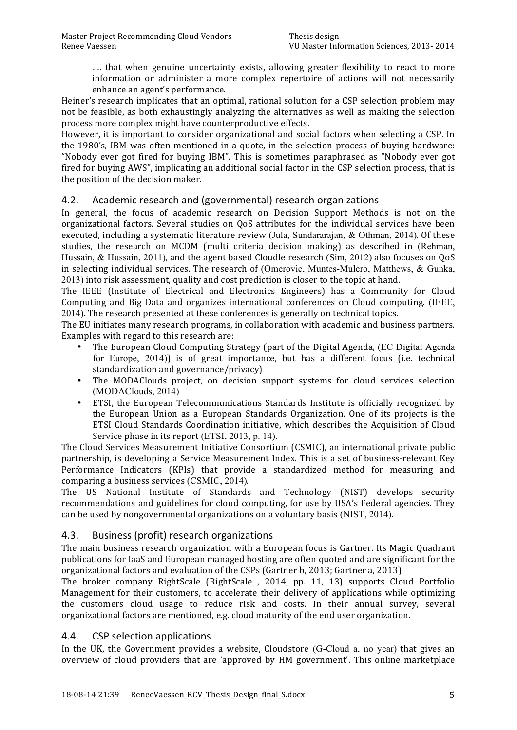.... that when genuine uncertainty exists, allowing greater flexibility to react to more information' or administer a more complex repertoire of actions will not necessarily enhance an agent's performance.

Heiner's research implicates that an optimal, rational solution for a CSP selection problem may not be feasible, as both exhaustingly analyzing the alternatives as well as making the selection process more complex might have counterproductive effects.

However, it is important to consider organizational and social factors when selecting a CSP. In the 1980's, IBM was often mentioned in a quote, in the selection process of buying hardware: "Nobody' ever' got' fired' for' buying' IBM".' This' is' sometimes' paraphrased' as' "Nobody' ever' got' fired for buying AWS", implicating an additional social factor in the CSP selection process, that is the position of the decision maker.

# 4.2. Academic research and (governmental) research organizations

In general, the focus of academic research on Decision Support Methods is not on the organizational factors. Several studies on OoS attributes for the individual services have been executed, including a systematic literature review (Jula, Sundararajan,  $&$  Othman, 2014). Of these studies, the research on MCDM (multi criteria decision making) as described in (Rehman, Hussain, & Hussain, 2011), and the agent based Cloudle research (Sim, 2012) also focuses on OoS in selecting individual services. The research of (Omerovic, Muntes-Mulero, Matthews, & Gunka, 2013) into risk assessment, quality and cost prediction is closer to the topic at hand.

The IEEE (Institute of Electrical and Electronics' Engineers) has a Community for Cloud Computing and Big Data and organizes international conferences on Cloud computing. (IEEE, 2014). The research presented at these conferences is generally on technical topics.

The EU initiates many research programs, in collaboration with academic and business partners. Examples with regard to this research are:

- The European Cloud Computing Strategy (part of the Digital Agenda, (EC Digital Agenda) for Europe,  $2014$ )) is of great importance, but has a different focus (i.e. technical standardization and governance/privacy)
- The MODAClouds project, on decision support systems for cloud services selection (MODAClouds, 2014)
- ETSI, the European Telecommunications Standards Institute is officially recognized by the European' Union' as a European' Standards' Organization. One of its projects is the ETSI Cloud Standards Coordination initiative, which describes the Acquisition of Cloud Service phase in its report (ETSI, 2013, p. 14).

The Cloud Services Measurement Initiative Consortium (CSMIC), an international private public partnership, is developing a Service Measurement Index. This is a set of business-relevant Key Performance Indicators (KPIs) that provide a standardized method for measuring and comparing a business services (CSMIC, 2014).

The US National Institute of Standards and Technology (NIST) develops security recommendations and guidelines for cloud computing, for use by USA's Federal agencies. They can'be used by nongovernmental organizations on a voluntary basis (NIST, 2014).

# 4.3. Business (profit) research organizations

The main business research organization with a European focus is Gartner. Its Magic Quadrant publications'for'IaaS'and'European'managed'hosting'are'often'quoted'and'are'significant'for'the' organizational factors and evaluation of the CSPs (Gartner b, 2013; Gartner a, 2013)

The broker company RightScale (RightScale, 2014, pp. 11, 13) supports Cloud Portfolio Management for their customers, to accelerate their delivery of applications while optimizing the customers cloud usage to reduce risk and costs. In their annual survey, several organizational factors are mentioned, e.g. cloud maturity of the end user organization.

## 4.4. CSP selection applications

In the UK, the Government provides a website, Cloudstore (G-Cloud a, no year) that gives an overview of cloud providers that are 'approved by HM government'. This online marketplace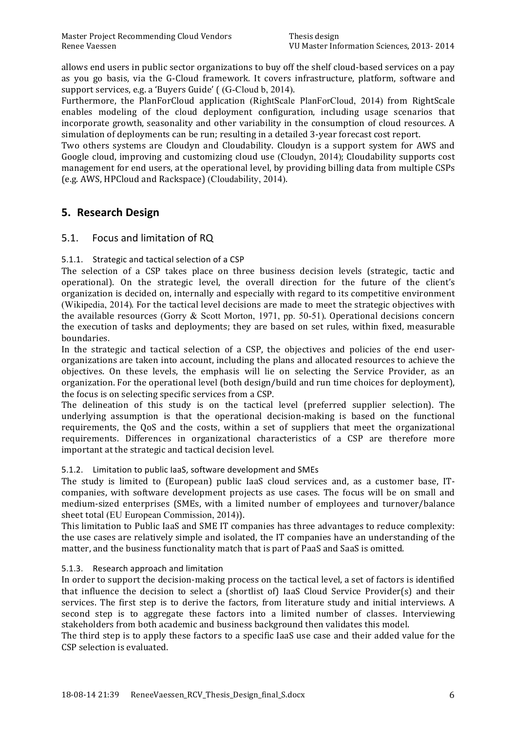allows end users in public sector organizations to buy off the shelf cloud-based services on a pay as you go basis, via the G-Cloud framework. It covers infrastructure, platform, software and support services, e.g. a 'Buyers Guide' ( (G-Cloud b, 2014).

Furthermore, the PlanForCloud application (RightScale PlanForCloud, 2014) from RightScale enables modeling of the cloud deployment configuration, including usage scenarios that incorporate growth, seasonality and other variability in the consumption of cloud resources. A simulation of deployments can be run; resulting in a detailed 3-year forecast cost report.

Two others systems are Cloudyn and Cloudability. Cloudyn is a support system for AWS and Google cloud, improving and customizing cloud use (Cloudyn, 2014); Cloudability supports cost management for end users, at the operational level, by providing billing data from multiple CSPs (e.g. AWS, HPCloud and Rackspace) (Cloudability, 2014).

# **5. Research\*Design**

# 5.1. Focus and limitation of RQ

## 5.1.1. Strategic and tactical selection of a CSP

The selection of a CSP takes place on three business decision levels (strategic, tactic and operational). On the strategic level, the overall direction for the future of the client's organization is decided on, internally and especially with regard to its competitive environment (Wikipedia, 2014). For the tactical level decisions are made to meet the strategic objectives with the available resources (Gorry  $\&$  Scott Morton, 1971, pp. 50-51). Operational decisions concern the execution of tasks and deployments; they are based on set rules, within fixed, measurable boundaries.

In the strategic and tactical selection of a CSP, the objectives and policies of the end userorganizations are taken into account, including the plans and allocated resources to achieve the objectives. On these levels, the emphasis will lie on selecting the Service Provider, as an organization. For the operational level (both design/build and run time choices for deployment), the focus is on selecting specific services from a CSP.

The delineation of this study is on the tactical level (preferred supplier selection). The underlying assumption is that the operational decision-making is based on the functional requirements, the QoS and the costs, within a set of suppliers that meet the organizational requirements. Differences in organizational characteristics of a CSP are therefore more important at the strategic and tactical decision level.

### 5.1.2. Limitation to public IaaS, software development and SMEs

The study is limited to (European) public IaaS cloud services and, as a customer base, ITcompanies, with software development projects as use cases. The focus will be on small and medium-sized enterprises (SMEs, with a limited number of employees and turnover/balance sheet total (EU European Commission, 2014)).

This limitation to Public IaaS and SME IT companies has three advantages to reduce complexity: the use cases are relatively simple and isolated, the IT companies have an understanding of the matter, and the business functionality match that is part of PaaS and SaaS is omitted.

## 5.1.3. Research approach and limitation

In order to support the decision-making process on the tactical level, a set of factors is identified that influence the decision to select a (shortlist of) IaaS Cloud Service Provider(s) and their services. The first step is to derive the factors, from literature study and initial interviews. A second step is to aggregate these factors into a limited number of classes. Interviewing stakeholders from both academic and business background then validates this model.

The third step is to apply these factors to a specific IaaS use case and their added value for the CSP selection is evaluated.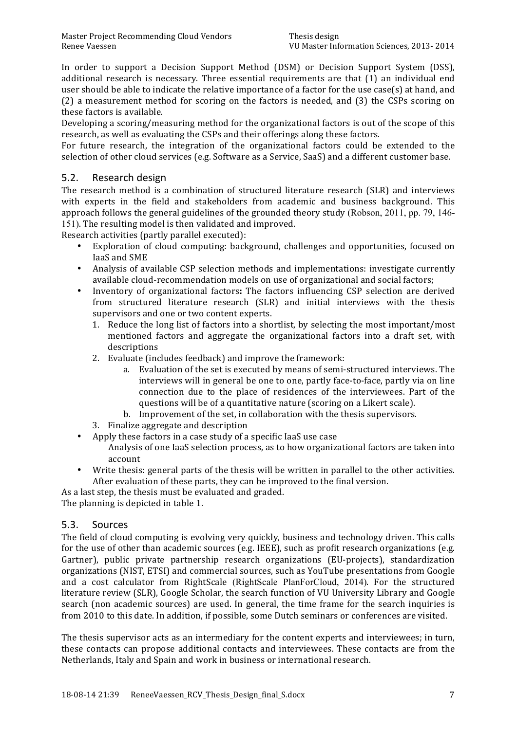In order to support a Decision Support Method (DSM) or Decision Support System (DSS), additional research is necessary. Three essential requirements are that (1) an individual end user's hould'be able to indicate the relative importance of a factor for the use case(s) at hand, and  $(2)$  a measurement method for scoring on the factors is needed, and  $(3)$  the CSPs scoring on these factors is available.

Developing a scoring/measuring method for the organizational factors is out of the scope of this research, as well as evaluating the CSPs and their offerings along these factors.

For future research, the integration of the organizational factors could be extended to the selection of other cloud services (e.g. Software as a Service, SaaS) and a different customer base.

## 5.2. Research design

The research method is a combination of structured literature research (SLR) and interviews with experts in the field and stakeholders from academic and business background. This approach follows the general guidelines of the grounded theory study (Robson, 2011, pp. 79, 146-151). The resulting model is then validated and improved.

Research activities (partly parallel executed):

- Exploration of cloud computing: background, challenges and opportunities, focused on IaaS and SME
- Analysis of available CSP selection methods and implementations: investigate currently available cloud-recommendation models on use of organizational and social factors;
- Inventory of organizational factors: The factors influencing CSP selection are derived from structured literature research (SLR) and initial interviews with the thesis supervisors and one or two content experts.
	- 1. Reduce the long list of factors into a shortlist, by selecting the most important/most mentioned factors and aggregate the organizational factors into a draft set, with descriptions
	- 2. Evaluate (includes feedback) and improve the framework:
		- a. Evaluation of the set is executed by means of semi-structured interviews. The interviews will in general be one to one, partly face-to-face, partly via on line connection' due' to' the' place' of' residences' of' the' interviewees.' Part' of' the' questions will be of a quantitative nature (scoring on a Likert scale).
		- b. Improvement of the set, in collaboration with the thesis supervisors.
	- 3. Finalize aggregate and description
- Apply these factors in a case study of a specific laaS use case
	- Analysis of one IaaS selection process, as to how organizational factors are taken into account
- Write thesis: general parts of the thesis will be written in parallel to the other activities. After evaluation of these parts, they can be improved to the final version.
- As a last step, the thesis must be evaluated and graded.

The planning is depicted in table 1.

## 5.3. Sources

The field of cloud computing is evolving very quickly, business and technology driven. This calls for the use of other than academic sources (e.g. IEEE), such as profit research organizations (e.g. Gartner), public private partnership research organizations (EU-projects), standardization organizations (NIST, ETSI) and commercial sources, such as YouTube presentations from Google and a cost calculator from RightScale (RightScale PlanForCloud, 2014). For the structured literature review (SLR), Google Scholar, the search function of VU University Library and Google search (non academic sources) are used. In general, the time frame for the search inquiries is from 2010 to this date. In addition, if possible, some Dutch seminars or conferences are visited.

The thesis supervisor acts as an intermediary for the content experts and interviewees; in turn, these contacts can propose additional contacts and interviewees. These contacts are from the Netherlands, Italy and Spain and work in business or international research.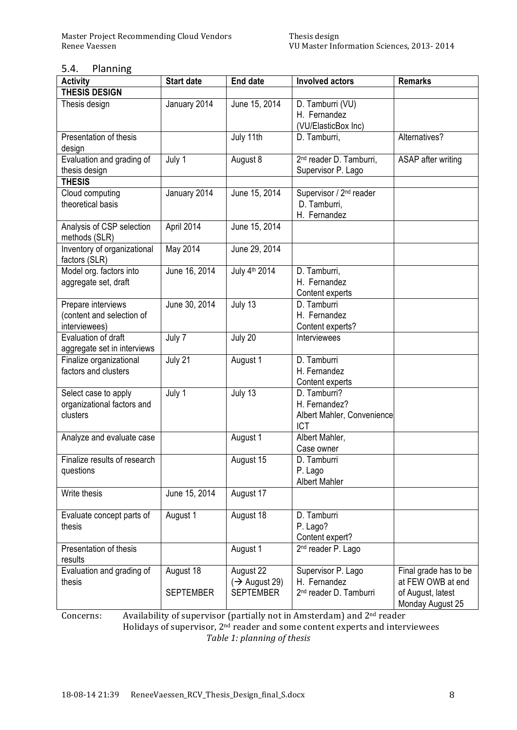### 5.4. Planning

| <b>Activity</b>                                                  | <b>Start date</b>             | <b>End date</b>                                            | <b>Involved actors</b>                                                   | <b>Remarks</b>                                                                      |
|------------------------------------------------------------------|-------------------------------|------------------------------------------------------------|--------------------------------------------------------------------------|-------------------------------------------------------------------------------------|
| <b>THESIS DESIGN</b>                                             |                               |                                                            |                                                                          |                                                                                     |
| Thesis design                                                    | January 2014                  | June 15, 2014                                              | D. Tamburri (VU)<br>H. Fernandez<br>(VU/ElasticBox Inc)                  |                                                                                     |
| Presentation of thesis<br>design                                 |                               | July 11th                                                  | D. Tamburri,                                                             | Alternatives?                                                                       |
| Evaluation and grading of<br>thesis design                       | July 1                        | August 8                                                   | 2 <sup>nd</sup> reader D. Tamburri,<br>Supervisor P. Lago                | ASAP after writing                                                                  |
| <b>THESIS</b>                                                    |                               |                                                            |                                                                          |                                                                                     |
| Cloud computing<br>theoretical basis                             | January 2014                  | June 15, 2014                                              | Supervisor / 2 <sup>nd</sup> reader<br>D. Tamburri,<br>H. Fernandez      |                                                                                     |
| Analysis of CSP selection<br>methods (SLR)                       | April 2014                    | June 15, 2014                                              |                                                                          |                                                                                     |
| Inventory of organizational<br>factors (SLR)                     | May 2014                      | June 29, 2014                                              |                                                                          |                                                                                     |
| Model org. factors into<br>aggregate set, draft                  | June 16, 2014                 | July 4 <sup>th</sup> 2014                                  | D. Tamburri,<br>H. Fernandez<br>Content experts                          |                                                                                     |
| Prepare interviews<br>(content and selection of<br>interviewees) | June 30, 2014                 | July 13                                                    | D. Tamburri<br>H. Fernandez<br>Content experts?                          |                                                                                     |
| Evaluation of draft<br>aggregate set in interviews               | July 7                        | July 20                                                    | Interviewees                                                             |                                                                                     |
| Finalize organizational<br>factors and clusters                  | July 21                       | August 1                                                   | D. Tamburri<br>H. Fernandez<br>Content experts                           |                                                                                     |
| Select case to apply<br>organizational factors and<br>clusters   | July 1                        | July 13                                                    | D. Tamburri?<br>H. Fernandez?<br>Albert Mahler, Convenience<br>ICT       |                                                                                     |
| Analyze and evaluate case                                        |                               | August 1                                                   | Albert Mahler,<br>Case owner                                             |                                                                                     |
| Finalize results of research<br>questions                        |                               | August 15                                                  | D. Tamburri<br>P. Lago<br><b>Albert Mahler</b>                           |                                                                                     |
| Write thesis                                                     | June 15, 2014                 | August 17                                                  |                                                                          |                                                                                     |
| Evaluate concept parts of<br>thesis                              | August 1                      | August 18                                                  | D. Tamburri<br>P. Lago?<br>Content expert?                               |                                                                                     |
| Presentation of thesis<br>results                                |                               | August 1                                                   | 2 <sup>nd</sup> reader P. Lago                                           |                                                                                     |
| Evaluation and grading of<br>thesis                              | August 18<br><b>SEPTEMBER</b> | August 22<br>$(\rightarrow$ August 29)<br><b>SEPTEMBER</b> | Supervisor P. Lago<br>H. Fernandez<br>2 <sup>nd</sup> reader D. Tamburri | Final grade has to be<br>at FEW OWB at end<br>of August, latest<br>Monday August 25 |

Concerns: Availability of supervisor (partially not in Amsterdam) and 2<sup>nd</sup> reader Holidays of supervisor, 2<sup>nd</sup> reader and some content experts and interviewees **Table 1: planning of thesis**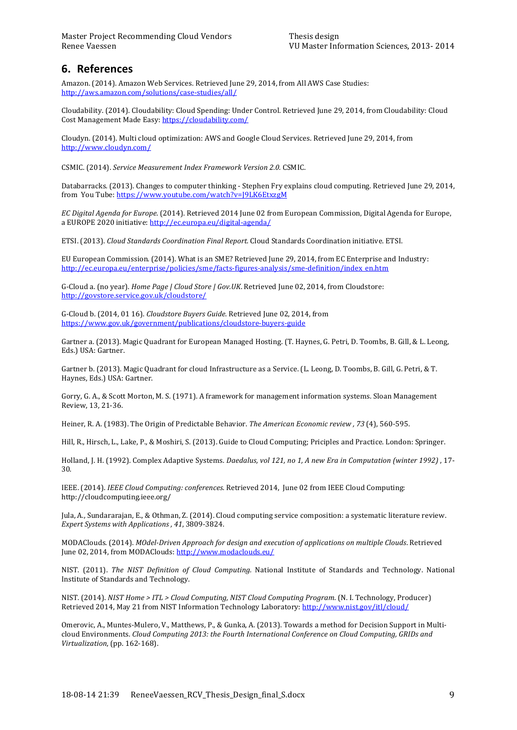# **6. References**

Amazon. (2014). Amazon Web Services. Retrieved June 29, 2014, from All AWS Case Studies: http://aws.amazon.com/solutions/case-studies/all/

Cloudability. (2014). Cloudability: Cloud Spending: Under Control. Retrieved June 29, 2014, from Cloudability: Cloud Cost Management Made Easy: https://cloudability.com/

Cloudyn. (2014). Multi cloud optimization: AWS and Google Cloud Services. Retrieved June 29, 2014, from http://www.cloudyn.com/

CSMIC. (2014). *Service Measurement Index Framework Version 2.0.* CSMIC.

Databarracks. (2013). Changes to computer thinking - Stephen Fry explains cloud computing. Retrieved June 29, 2014, from You Tube: https://www.youtube.com/watch?v=J9LK6EtxzgM

*EC Digital Agenda for Europe.* (2014). Retrieved 2014 June 02 from European Commission, Digital Agenda for Europe, a EUROPE 2020 initiative: http://ec.europa.eu/digital-agenda/

ETSI. (2013). *Cloud Standards Coordination Final Report.* Cloud Standards Coordination initiative. ETSI.

EU European Commission. (2014). What is an SME? Retrieved June 29, 2014, from EC Enterprise and Industry: http://ec.europa.eu/enterprise/policies/sme/facts-figures-analysis/sme-definition/index\_en.htm

G-Cloud a. (no year). *Home Page | Cloud Store | Gov.UK*. Retrieved June 02, 2014, from Cloudstore: http://govstore.service.gov.uk/cloudstore/

G-Cloud b. (2014, 01 16). *Cloudstore Buyers Guide*. Retrieved June 02, 2014, from https://www.gov.uk/government/publications/cloudstore-buyers-guide

Gartner a. (2013). Magic Quadrant for European Managed Hosting. (T. Haynes, G. Petri, D. Toombs, B. Gill, & L. Leong, Eds.) USA: Gartner.

Gartner b. (2013). Magic Quadrant for cloud Infrastructure as a Service. (L. Leong, D. Toombs, B. Gill, G. Petri, & T. Haynes, Eds.) USA: Gartner.

Gorry, G. A., & Scott Morton, M. S. (1971). A framework for management information systems. Sloan Management Review, 13, 21-36.

Heiner, R. A. (1983). The Origin of Predictable Behavior. *The American Economic review* , 73<sup>(4)</sup>, 560-595.

Hill, R., Hirsch, L., Lake, P., & Moshiri, S. (2013). Guide to Cloud Computing; Priciples and Practice. London: Springer.

Holland, J. H. (1992). Complex Adaptive Systems. *Daedalus, vol 121, no 1, A new Era in Computation (winter 1992)*, 17-30.

IEEE. (2014). *IEEE Cloud Computing: conferences.* Retrieved 2014, June 02 from IEEE Cloud Computing: http://cloudcomputing.ieee.org/'

Jula, A., Sundararajan, E., & Othman, Z. (2014). Cloud computing service composition: a systematic literature review. *Expert Systems with Applications* , 41, 3809-3824.

MODAClouds.'(2014).'*MOdel:Driven\$Approach\$for\$design\$and\$execution\$of\$applications\$on\$multiple\$Clouds*.'Retrieved' June 02, 2014, from MODAClouds: http://www.modaclouds.eu/

NIST. (2011). The NIST Definition of Cloud Computing. National Institute of Standards and Technology. National Institute of Standards and Technology.

*NIST.* (2014). *NIST Home* > *ITL* > *Cloud Computing, NIST Cloud Computing Program.* (N. I. Technology, Producer) Retrieved 2014, May 21 from NIST Information Technology Laboratory: http://www.nist.gov/itl/cloud/

Omerovic, A., Muntes-Mulero, V., Matthews, P., & Gunka, A. (2013). Towards a method for Decision Support in Multicloud Environments. *Cloud Computing 2013: the Fourth International Conference on Cloud Computing, GRIDs and Virtualization*, (pp. 162-168).